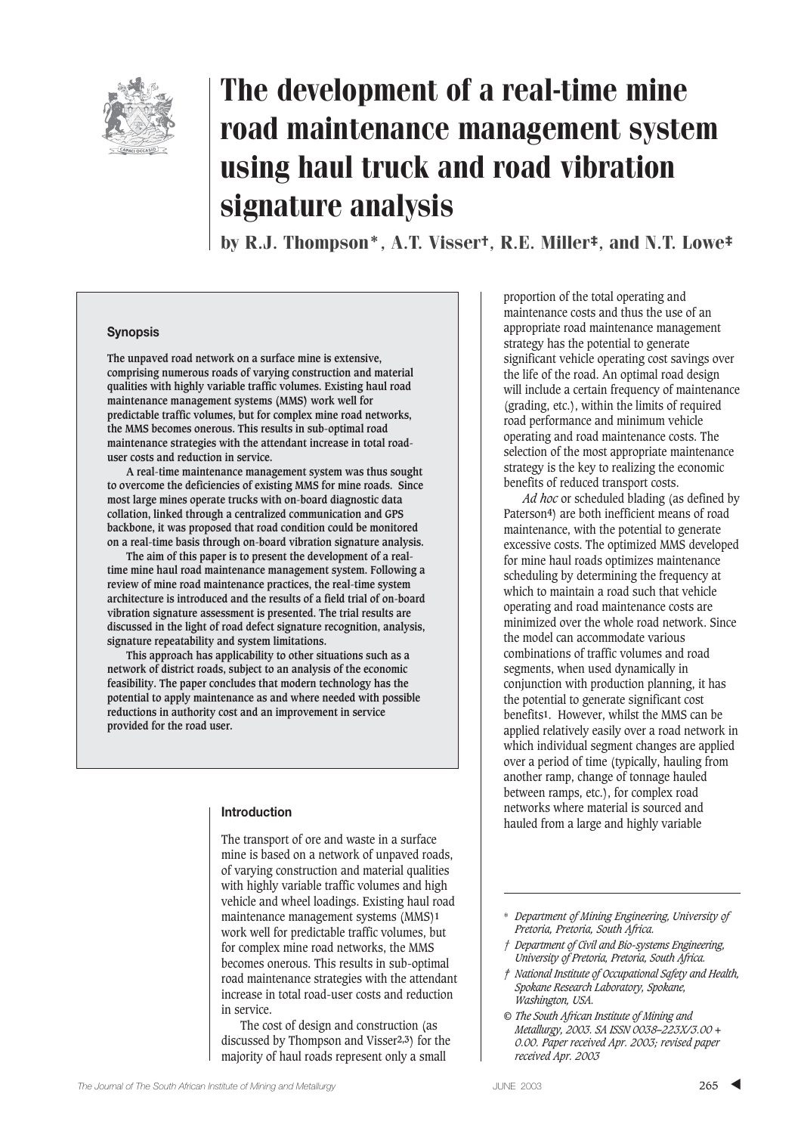

# The development of a real-time mine road maintenance management system using haul truck and road vibration signature analysis

by R.J. Thompson\*, A.T. Visser†, R.E. Miller‡, and N.T. Lowe‡

#### **Synopsis**

**The unpaved road network on a surface mine is extensive, comprising numerous roads of varying construction and material qualities with highly variable traffic volumes. Existing haul road maintenance management systems (MMS) work well for predictable traffic volumes, but for complex mine road networks, the MMS becomes onerous. This results in sub-optimal road maintenance strategies with the attendant increase in total roaduser costs and reduction in service.**

**A real-time maintenance management system was thus sought to overcome the deficiencies of existing MMS for mine roads. Since most large mines operate trucks with on-board diagnostic data collation, linked through a centralized communication and GPS backbone, it was proposed that road condition could be monitored on a real-time basis through on-board vibration signature analysis.**

**The aim of this paper is to present the development of a realtime mine haul road maintenance management system. Following a review of mine road maintenance practices, the real-time system architecture is introduced and the results of a field trial of on-board vibration signature assessment is presented. The trial results are discussed in the light of road defect signature recognition, analysis, signature repeatability and system limitations.**

**This approach has applicability to other situations such as a network of district roads, subject to an analysis of the economic feasibility. The paper concludes that modern technology has the potential to apply maintenance as and where needed with possible reductions in authority cost and an improvement in service provided for the road user.**

#### **Introduction**

The transport of ore and waste in a surface mine is based on a network of unpaved roads, of varying construction and material qualities with highly variable traffic volumes and high vehicle and wheel loadings. Existing haul road maintenance management systems (MMS)**1** work well for predictable traffic volumes, but for complex mine road networks, the MMS becomes onerous. This results in sub-optimal road maintenance strategies with the attendant increase in total road-user costs and reduction in service.

The cost of design and construction (as discussed by Thompson and Visser**2,3**) for the majority of haul roads represent only a small

proportion of the total operating and maintenance costs and thus the use of an appropriate road maintenance management strategy has the potential to generate significant vehicle operating cost savings over the life of the road. An optimal road design will include a certain frequency of maintenance (grading, etc.), within the limits of required road performance and minimum vehicle operating and road maintenance costs. The selection of the most appropriate maintenance strategy is the key to realizing the economic benefits of reduced transport costs.

*Ad hoc* or scheduled blading (as defined by Paterson**4**) are both inefficient means of road maintenance, with the potential to generate excessive costs. The optimized MMS developed for mine haul roads optimizes maintenance scheduling by determining the frequency at which to maintain a road such that vehicle operating and road maintenance costs are minimized over the whole road network. Since the model can accommodate various combinations of traffic volumes and road segments, when used dynamically in conjunction with production planning, it has the potential to generate significant cost benefits**1**. However, whilst the MMS can be applied relatively easily over a road network in which individual segment changes are applied over a period of time (typically, hauling from another ramp, change of tonnage hauled between ramps, etc.), for complex road networks where material is sourced and hauled from a large and highly variable

- *† Department of Civil and Bio-systems Engineering, University of Pretoria, Pretoria, South Africa.*
- *‡ National Institute of Occupational Safety and Health, Spokane Research Laboratory, Spokane, Washington, USA.*
- *© The South African Institute of Mining and Metallurgy, 2003. SA ISSN 0038–223X/3.00 + 0.00. Paper received Apr. 2003; revised paper received Apr. 2003*

<sup>\*</sup> *Department of Mining Engineering, University of Pretoria, Pretoria, South Africa.*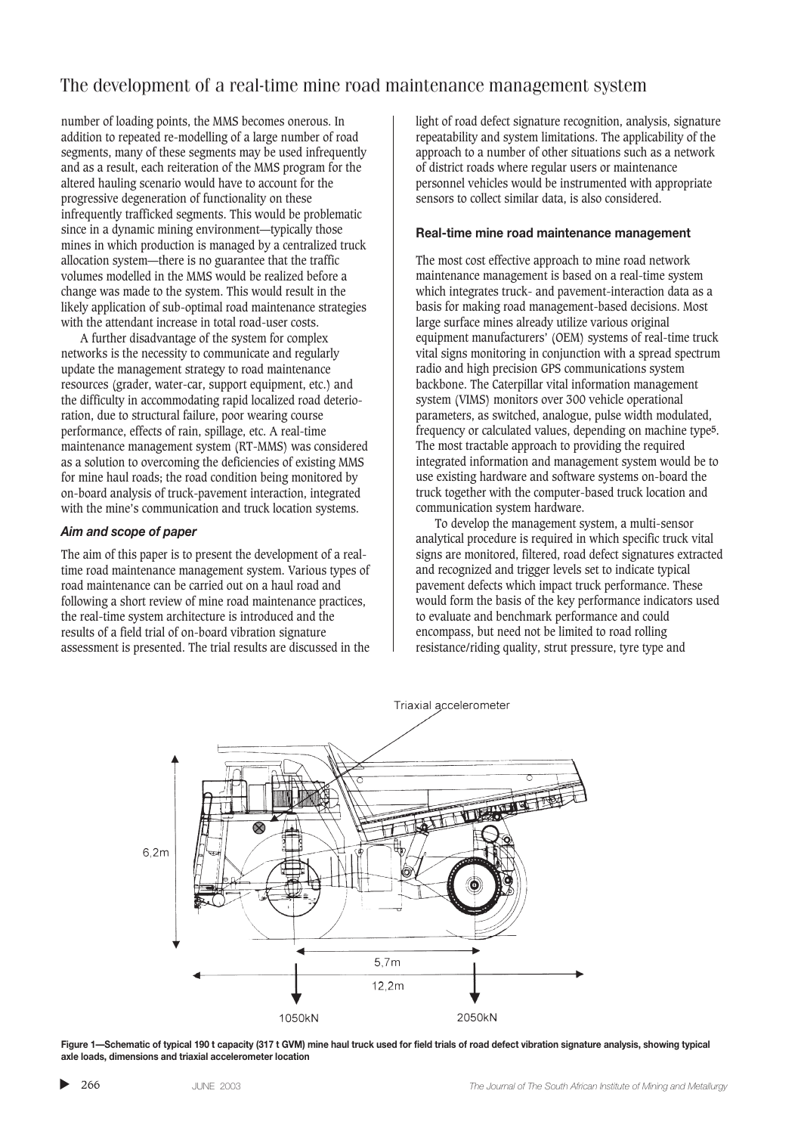number of loading points, the MMS becomes onerous. In addition to repeated re-modelling of a large number of road segments, many of these segments may be used infrequently and as a result, each reiteration of the MMS program for the altered hauling scenario would have to account for the progressive degeneration of functionality on these infrequently trafficked segments. This would be problematic since in a dynamic mining environment—typically those mines in which production is managed by a centralized truck allocation system—there is no guarantee that the traffic volumes modelled in the MMS would be realized before a change was made to the system. This would result in the likely application of sub-optimal road maintenance strategies with the attendant increase in total road-user costs.

A further disadvantage of the system for complex networks is the necessity to communicate and regularly update the management strategy to road maintenance resources (grader, water-car, support equipment, etc.) and the difficulty in accommodating rapid localized road deterioration, due to structural failure, poor wearing course performance, effects of rain, spillage, etc. A real-time maintenance management system (RT-MMS) was considered as a solution to overcoming the deficiencies of existing MMS for mine haul roads; the road condition being monitored by on-board analysis of truck-pavement interaction, integrated with the mine's communication and truck location systems.

## *Aim and scope of paper*

The aim of this paper is to present the development of a realtime road maintenance management system. Various types of road maintenance can be carried out on a haul road and following a short review of mine road maintenance practices, the real-time system architecture is introduced and the results of a field trial of on-board vibration signature assessment is presented. The trial results are discussed in the

light of road defect signature recognition, analysis, signature repeatability and system limitations. The applicability of the approach to a number of other situations such as a network of district roads where regular users or maintenance personnel vehicles would be instrumented with appropriate sensors to collect similar data, is also considered.

## **Real-time mine road maintenance management**

The most cost effective approach to mine road network maintenance management is based on a real-time system which integrates truck- and pavement-interaction data as a basis for making road management-based decisions. Most large surface mines already utilize various original equipment manufacturers' (OEM) systems of real-time truck vital signs monitoring in conjunction with a spread spectrum radio and high precision GPS communications system backbone. The Caterpillar vital information management system (VIMS) monitors over 300 vehicle operational parameters, as switched, analogue, pulse width modulated, frequency or calculated values, depending on machine type**5**. The most tractable approach to providing the required integrated information and management system would be to use existing hardware and software systems on-board the truck together with the computer-based truck location and communication system hardware.

To develop the management system, a multi-sensor analytical procedure is required in which specific truck vital signs are monitored, filtered, road defect signatures extracted and recognized and trigger levels set to indicate typical pavement defects which impact truck performance. These would form the basis of the key performance indicators used to evaluate and benchmark performance and could encompass, but need not be limited to road rolling resistance/riding quality, strut pressure, tyre type and



**Figure 1—Schematic of typical 190 t capacity (317 t GVM) mine haul truck used for field trials of road defect vibration signature analysis, showing typical axle loads, dimensions and triaxial accelerometer location**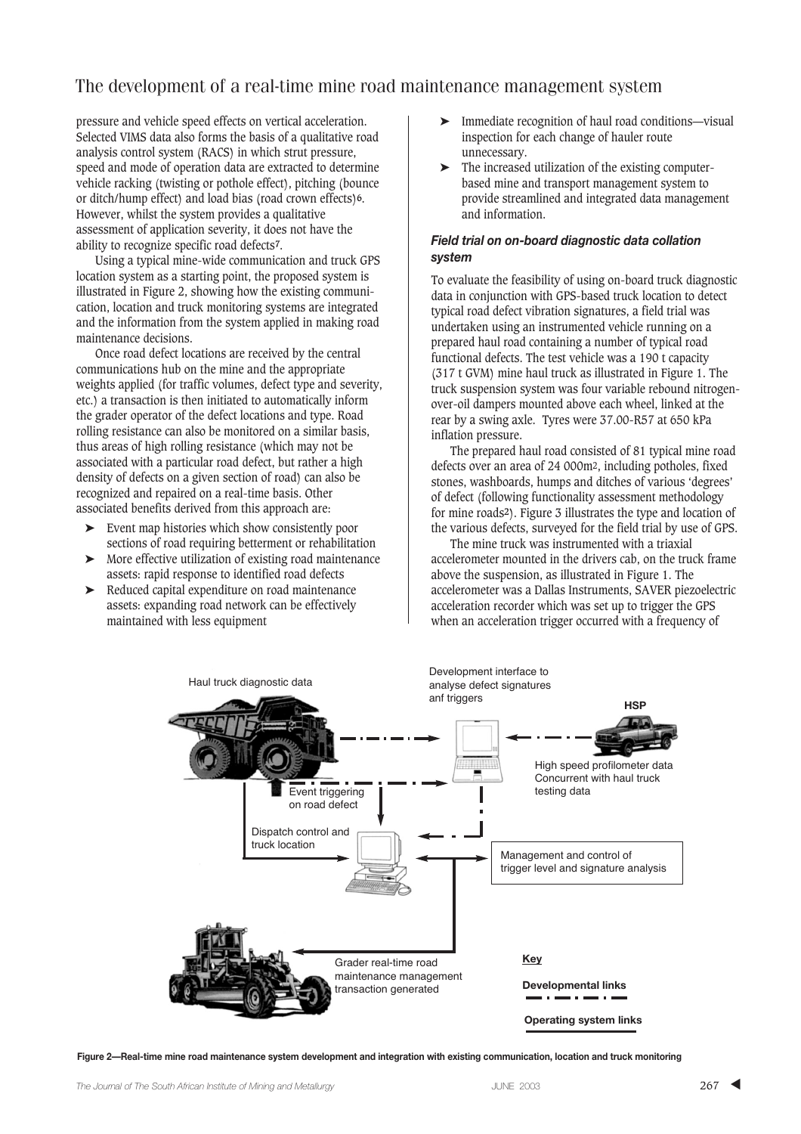pressure and vehicle speed effects on vertical acceleration. Selected VIMS data also forms the basis of a qualitative road analysis control system (RACS) in which strut pressure, speed and mode of operation data are extracted to determine vehicle racking (twisting or pothole effect), pitching (bounce or ditch/hump effect) and load bias (road crown effects)**6**. However, whilst the system provides a qualitative assessment of application severity, it does not have the ability to recognize specific road defects**7**.

Using a typical mine-wide communication and truck GPS location system as a starting point, the proposed system is illustrated in Figure 2, showing how the existing communication, location and truck monitoring systems are integrated and the information from the system applied in making road maintenance decisions.

Once road defect locations are received by the central communications hub on the mine and the appropriate weights applied (for traffic volumes, defect type and severity, etc.) a transaction is then initiated to automatically inform the grader operator of the defect locations and type. Road rolling resistance can also be monitored on a similar basis, thus areas of high rolling resistance (which may not be associated with a particular road defect, but rather a high density of defects on a given section of road) can also be recognized and repaired on a real-time basis. Other associated benefits derived from this approach are:

- Event map histories which show consistently poor sections of road requiring betterment or rehabilitation
- ➤ More effective utilization of existing road maintenance assets: rapid response to identified road defects
- ➤ Reduced capital expenditure on road maintenance assets: expanding road network can be effectively maintained with less equipment
- ➤ Immediate recognition of haul road conditions—visual inspection for each change of hauler route unnecessary.
- ➤ The increased utilization of the existing computerbased mine and transport management system to provide streamlined and integrated data management and information.

## *Field trial on on-board diagnostic data collation system*

To evaluate the feasibility of using on-board truck diagnostic data in conjunction with GPS-based truck location to detect typical road defect vibration signatures, a field trial was undertaken using an instrumented vehicle running on a prepared haul road containing a number of typical road functional defects. The test vehicle was a 190 t capacity (317 t GVM) mine haul truck as illustrated in Figure 1. The truck suspension system was four variable rebound nitrogenover-oil dampers mounted above each wheel, linked at the rear by a swing axle. Tyres were 37.00-R57 at 650 kPa inflation pressure.

The prepared haul road consisted of 81 typical mine road defects over an area of 24 000m2, including potholes, fixed stones, washboards, humps and ditches of various 'degrees' of defect (following functionality assessment methodology for mine roads**2**). Figure 3 illustrates the type and location of the various defects, surveyed for the field trial by use of GPS.

The mine truck was instrumented with a triaxial accelerometer mounted in the drivers cab, on the truck frame above the suspension, as illustrated in Figure 1. The accelerometer was a Dallas Instruments, SAVER piezoelectric acceleration recorder which was set up to trigger the GPS when an acceleration trigger occurred with a frequency of



**Figure 2—Real-time mine road maintenance system development and integration with existing communication, location and truck monitoring**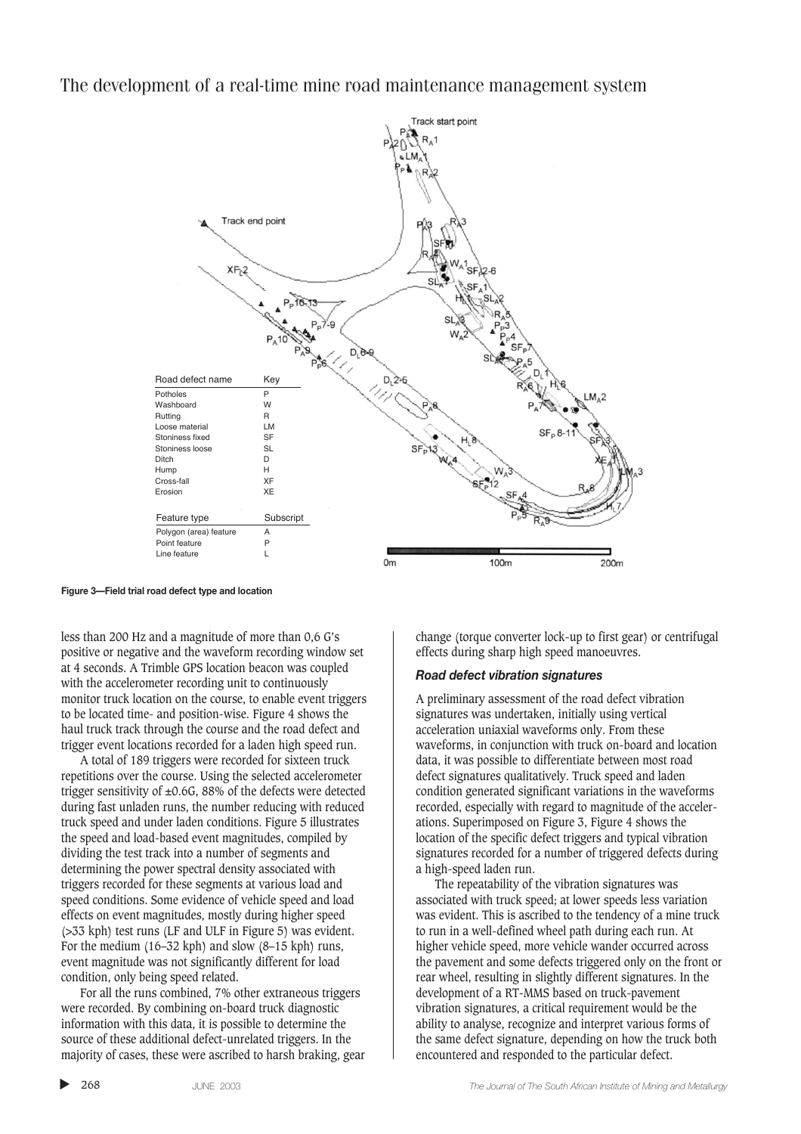

**Figure 3—Field trial road defect type and location**

less than 200 Hz and a magnitude of more than 0,6 G's positive or negative and the waveform recording window set at 4 seconds. A Trimble GPS location beacon was coupled with the accelerometer recording unit to continuously monitor truck location on the course, to enable event triggers to be located time- and position-wise. Figure 4 shows the haul truck track through the course and the road defect and trigger event locations recorded for a laden high speed run.

A total of 189 triggers were recorded for sixteen truck repetitions over the course. Using the selected accelerometer trigger sensitivity of ±0.6G, 88% of the defects were detected during fast unladen runs, the number reducing with reduced truck speed and under laden conditions. Figure 5 illustrates the speed and load-based event magnitudes, compiled by dividing the test track into a number of segments and determining the power spectral density associated with triggers recorded for these segments at various load and speed conditions. Some evidence of vehicle speed and load effects on event magnitudes, mostly during higher speed (>33 kph) test runs (LF and ULF in Figure 5) was evident. For the medium (16–32 kph) and slow (8–15 kph) runs, event magnitude was not significantly different for load condition, only being speed related.

For all the runs combined, 7% other extraneous triggers were recorded. By combining on-board truck diagnostic information with this data, it is possible to determine the source of these additional defect-unrelated triggers. In the majority of cases, these were ascribed to harsh braking, gear change (torque converter lock-up to first gear) or centrifugal effects during sharp high speed manoeuvres.

#### *Road defect vibration signatures*

A preliminary assessment of the road defect vibration signatures was undertaken, initially using vertical acceleration uniaxial waveforms only. From these waveforms, in conjunction with truck on-board and location data, it was possible to differentiate between most road defect signatures qualitatively. Truck speed and laden condition generated significant variations in the waveforms recorded, especially with regard to magnitude of the accelerations. Superimposed on Figure 3, Figure 4 shows the location of the specific defect triggers and typical vibration signatures recorded for a number of triggered defects during a high-speed laden run.

The repeatability of the vibration signatures was associated with truck speed; at lower speeds less variation was evident. This is ascribed to the tendency of a mine truck to run in a well-defined wheel path during each run. At higher vehicle speed, more vehicle wander occurred across the pavement and some defects triggered only on the front or rear wheel, resulting in slightly different signatures. In the development of a RT-MMS based on truck-pavement vibration signatures, a critical requirement would be the ability to analyse, recognize and interpret various forms of the same defect signature, depending on how the truck both encountered and responded to the particular defect.

▲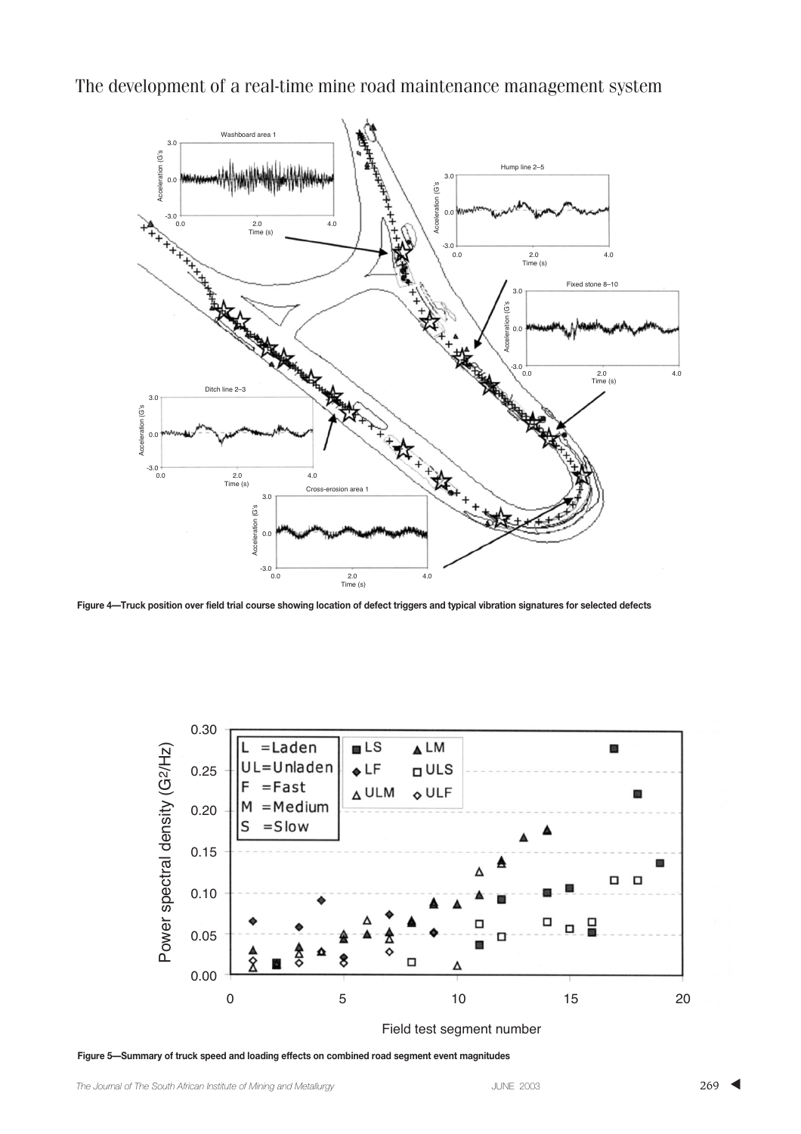

**Figure 4—Truck position over field trial course showing location of defect triggers and typical vibration signatures for selected defects**



Field test segment number

**Figure 5—Summary of truck speed and loading effects on combined road segment event magnitudes**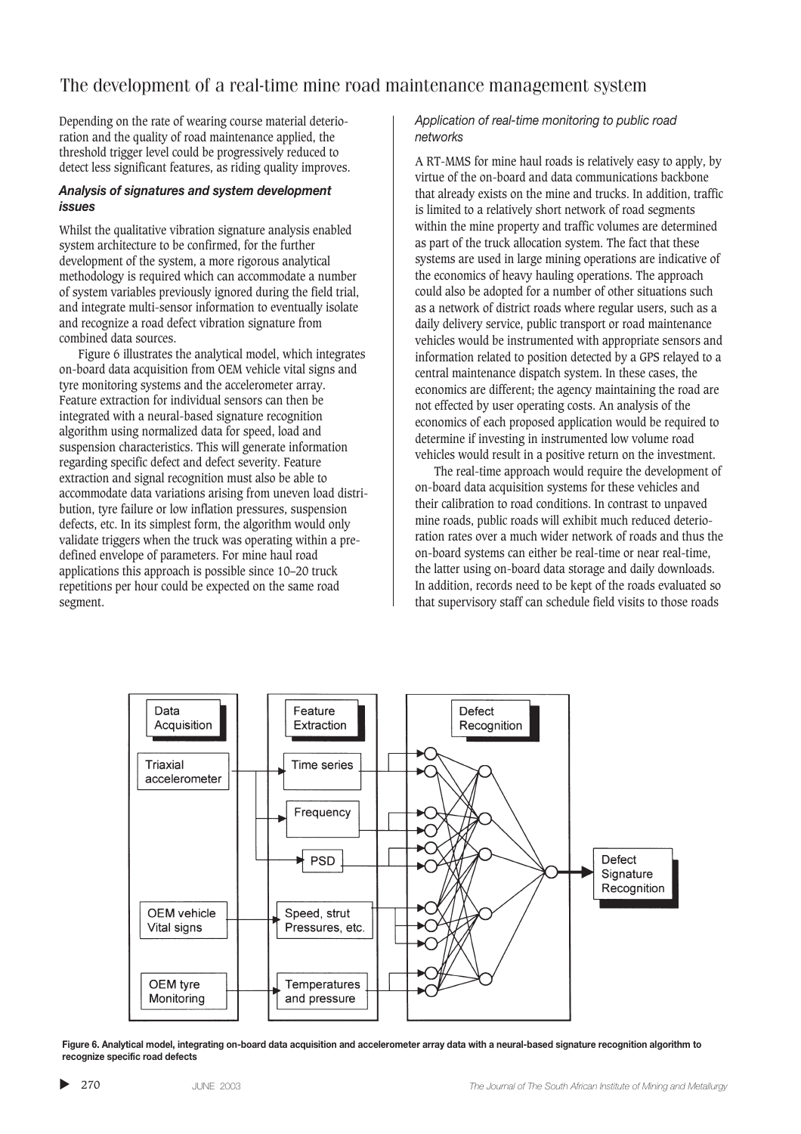Depending on the rate of wearing course material deterioration and the quality of road maintenance applied, the threshold trigger level could be progressively reduced to detect less significant features, as riding quality improves.

## *Analysis of signatures and system development issues*

Whilst the qualitative vibration signature analysis enabled system architecture to be confirmed, for the further development of the system, a more rigorous analytical methodology is required which can accommodate a number of system variables previously ignored during the field trial, and integrate multi-sensor information to eventually isolate and recognize a road defect vibration signature from combined data sources.

Figure 6 illustrates the analytical model, which integrates on-board data acquisition from OEM vehicle vital signs and tyre monitoring systems and the accelerometer array. Feature extraction for individual sensors can then be integrated with a neural-based signature recognition algorithm using normalized data for speed, load and suspension characteristics. This will generate information regarding specific defect and defect severity. Feature extraction and signal recognition must also be able to accommodate data variations arising from uneven load distribution, tyre failure or low inflation pressures, suspension defects, etc. In its simplest form, the algorithm would only validate triggers when the truck was operating within a predefined envelope of parameters. For mine haul road applications this approach is possible since 10–20 truck repetitions per hour could be expected on the same road segment.

### *Application of real-time monitoring to public road networks*

A RT-MMS for mine haul roads is relatively easy to apply, by virtue of the on-board and data communications backbone that already exists on the mine and trucks. In addition, traffic is limited to a relatively short network of road segments within the mine property and traffic volumes are determined as part of the truck allocation system. The fact that these systems are used in large mining operations are indicative of the economics of heavy hauling operations. The approach could also be adopted for a number of other situations such as a network of district roads where regular users, such as a daily delivery service, public transport or road maintenance vehicles would be instrumented with appropriate sensors and information related to position detected by a GPS relayed to a central maintenance dispatch system. In these cases, the economics are different; the agency maintaining the road are not effected by user operating costs. An analysis of the economics of each proposed application would be required to determine if investing in instrumented low volume road vehicles would result in a positive return on the investment.

The real-time approach would require the development of on-board data acquisition systems for these vehicles and their calibration to road conditions. In contrast to unpaved mine roads, public roads will exhibit much reduced deterioration rates over a much wider network of roads and thus the on-board systems can either be real-time or near real-time, the latter using on-board data storage and daily downloads. In addition, records need to be kept of the roads evaluated so that supervisory staff can schedule field visits to those roads



**Figure 6. Analytical model, integrating on-board data acquisition and accelerometer array data with a neural-based signature recognition algorithm to recognize specific road defects**